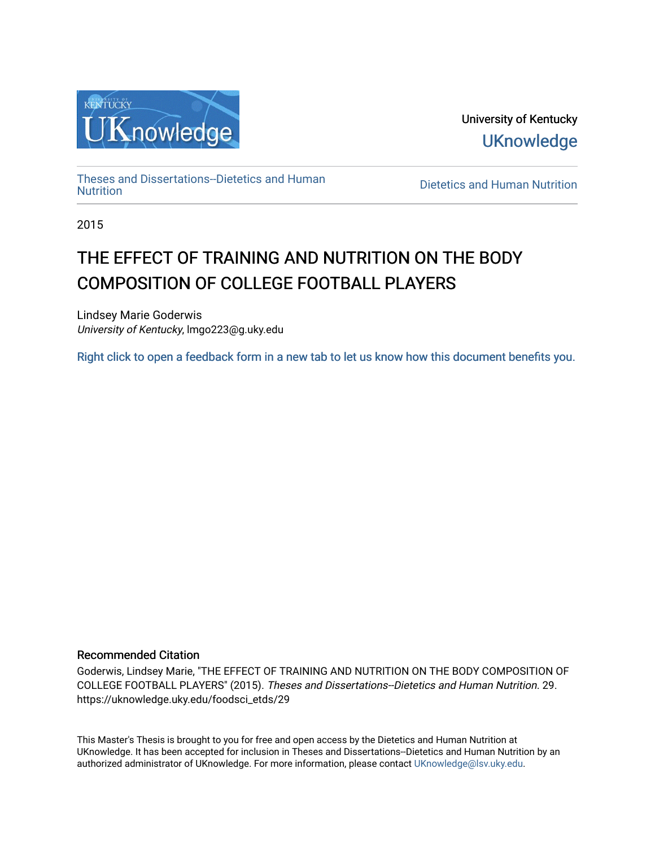

University of Kentucky **UKnowledge** 

[Theses and Dissertations--Dietetics and Human](https://uknowledge.uky.edu/foodsci_etds)

Dietetics and Human [Nutrition](https://uknowledge.uky.edu/foodsci_etds)

2015

# THE EFFECT OF TRAINING AND NUTRITION ON THE BODY COMPOSITION OF COLLEGE FOOTBALL PLAYERS

Lindsey Marie Goderwis University of Kentucky, lmgo223@g.uky.edu

[Right click to open a feedback form in a new tab to let us know how this document benefits you.](https://uky.az1.qualtrics.com/jfe/form/SV_9mq8fx2GnONRfz7)

#### Recommended Citation

Goderwis, Lindsey Marie, "THE EFFECT OF TRAINING AND NUTRITION ON THE BODY COMPOSITION OF COLLEGE FOOTBALL PLAYERS" (2015). Theses and Dissertations--Dietetics and Human Nutrition. 29. https://uknowledge.uky.edu/foodsci\_etds/29

This Master's Thesis is brought to you for free and open access by the Dietetics and Human Nutrition at UKnowledge. It has been accepted for inclusion in Theses and Dissertations--Dietetics and Human Nutrition by an authorized administrator of UKnowledge. For more information, please contact [UKnowledge@lsv.uky.edu](mailto:UKnowledge@lsv.uky.edu).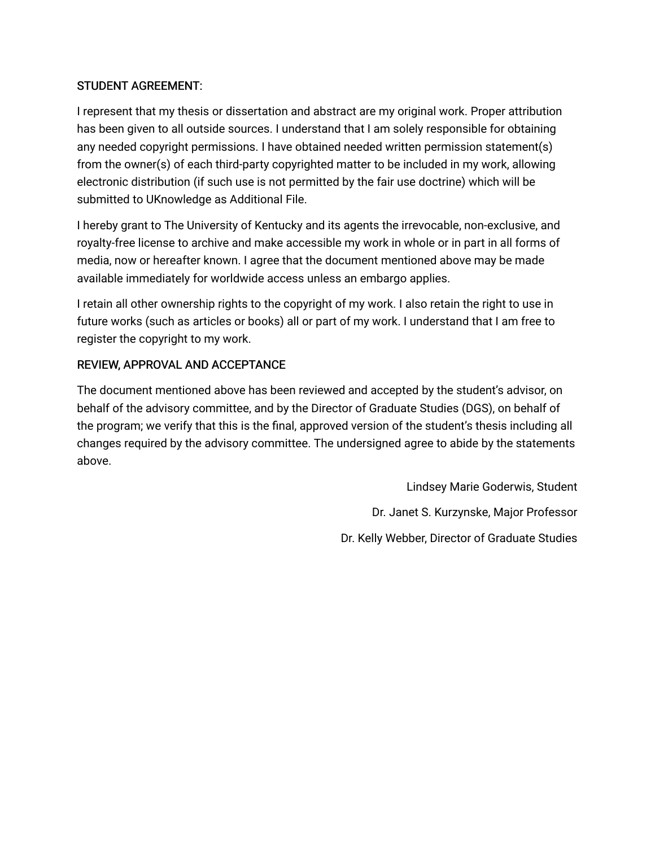### STUDENT AGREEMENT:

I represent that my thesis or dissertation and abstract are my original work. Proper attribution has been given to all outside sources. I understand that I am solely responsible for obtaining any needed copyright permissions. I have obtained needed written permission statement(s) from the owner(s) of each third-party copyrighted matter to be included in my work, allowing electronic distribution (if such use is not permitted by the fair use doctrine) which will be submitted to UKnowledge as Additional File.

I hereby grant to The University of Kentucky and its agents the irrevocable, non-exclusive, and royalty-free license to archive and make accessible my work in whole or in part in all forms of media, now or hereafter known. I agree that the document mentioned above may be made available immediately for worldwide access unless an embargo applies.

I retain all other ownership rights to the copyright of my work. I also retain the right to use in future works (such as articles or books) all or part of my work. I understand that I am free to register the copyright to my work.

### REVIEW, APPROVAL AND ACCEPTANCE

The document mentioned above has been reviewed and accepted by the student's advisor, on behalf of the advisory committee, and by the Director of Graduate Studies (DGS), on behalf of the program; we verify that this is the final, approved version of the student's thesis including all changes required by the advisory committee. The undersigned agree to abide by the statements above.

> Lindsey Marie Goderwis, Student Dr. Janet S. Kurzynske, Major Professor Dr. Kelly Webber, Director of Graduate Studies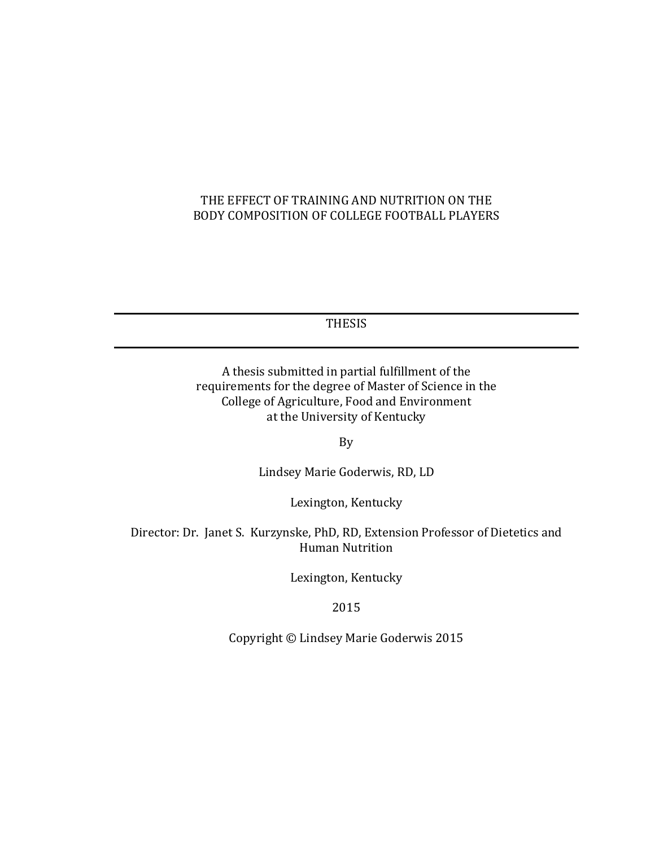### THE EFFECT OF TRAINING AND NUTRITION ON THE BODY COMPOSITION OF COLLEGE FOOTBALL PLAYERS

THESIS

A thesis submitted in partial fulfillment of the requirements for the degree of Master of Science in the College of Agriculture, Food and Environment at the University of Kentucky

By

Lindsey Marie Goderwis, RD, LD

Lexington, Kentucky

Director: Dr. Janet S. Kurzynske, PhD, RD, Extension Professor of Dietetics and Human Nutrition

Lexington, Kentucky

2015

Copyright © Lindsey Marie Goderwis 2015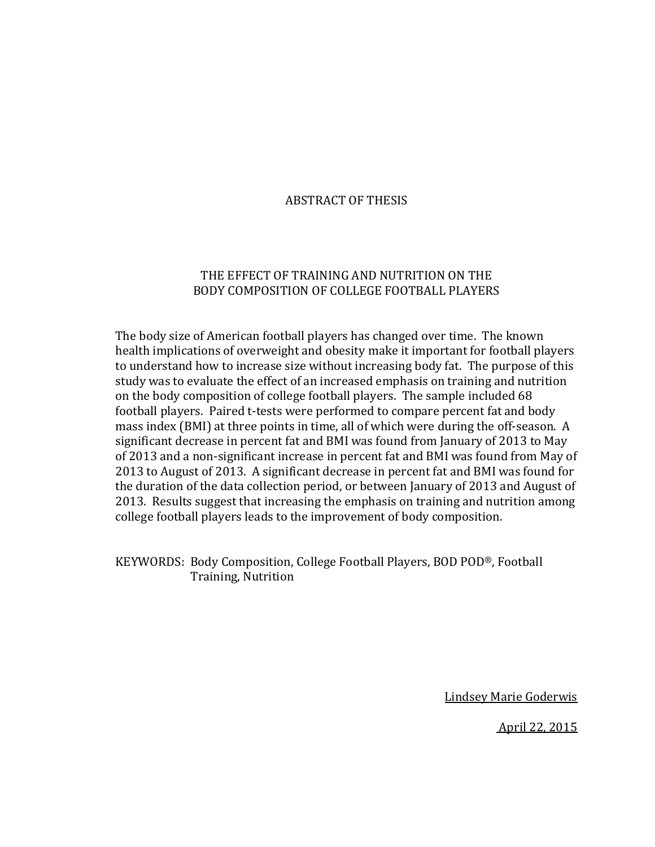#### ABSTRACT OF THESIS

#### THE EFFECT OF TRAINING AND NUTRITION ON THE BODY COMPOSITION OF COLLEGE FOOTBALL PLAYERS

The body size of American football players has changed over time. The known health implications of overweight and obesity make it important for football players to understand how to increase size without increasing body fat. The purpose of this study was to evaluate the effect of an increased emphasis on training and nutrition on the body composition of college football players. The sample included 68 football players. Paired t-tests were performed to compare percent fat and body mass index (BMI) at three points in time, all of which were during the off-season. A significant decrease in percent fat and BMI was found from January of 2013 to May of 2013 and a non-significant increase in percent fat and BMI was found from May of 2013 to August of 2013. A significant decrease in percent fat and BMI was found for the duration of the data collection period, or between January of 2013 and August of 2013. Results suggest that increasing the emphasis on training and nutrition among college football players leads to the improvement of body composition.

KEYWORDS: Body Composition, College Football Players, BOD POD®, Football Training, Nutrition

Lindsey Marie Goderwis

April 22, 2015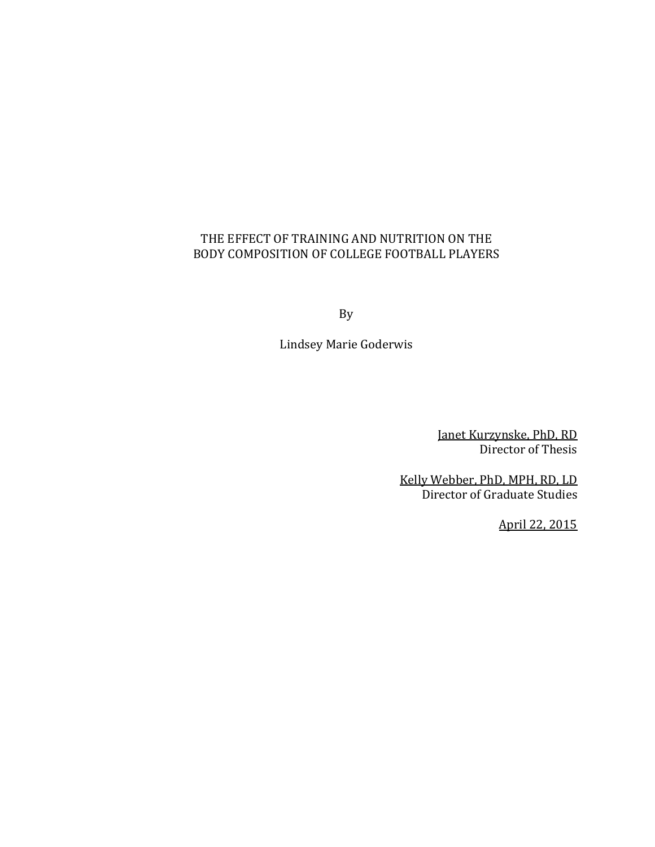### THE EFFECT OF TRAINING AND NUTRITION ON THE BODY COMPOSITION OF COLLEGE FOOTBALL PLAYERS

By

Lindsey Marie Goderwis

 Janet Kurzynske, PhD, RD Director of Thesis

Kelly Webber, PhD, MPH, RD, LD Director of Graduate Studies

April 22, 2015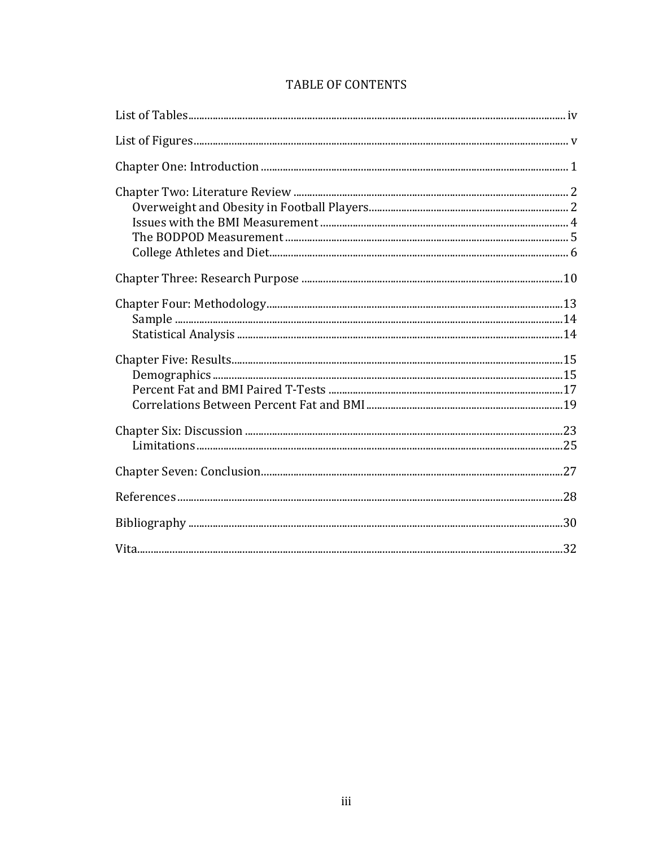### TABLE OF CONTENTS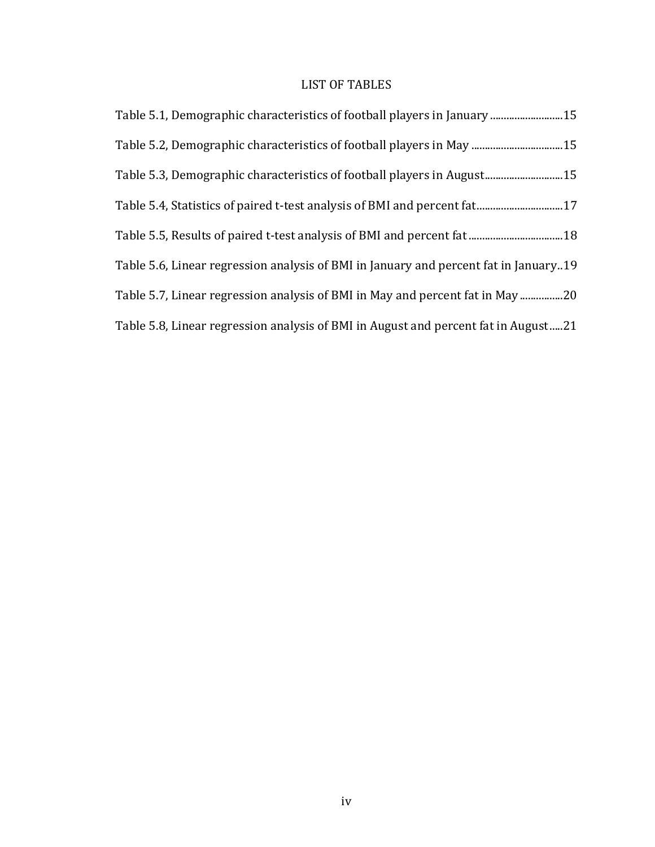### LIST OF TABLES

| Table 5.1, Demographic characteristics of football players in January 15             |
|--------------------------------------------------------------------------------------|
| Table 5.2, Demographic characteristics of football players in May 15                 |
| Table 5.3, Demographic characteristics of football players in August15               |
|                                                                                      |
|                                                                                      |
| Table 5.6, Linear regression analysis of BMI in January and percent fat in January19 |
| Table 5.7, Linear regression analysis of BMI in May and percent fat in May 20        |
| Table 5.8, Linear regression analysis of BMI in August and percent fat in August21   |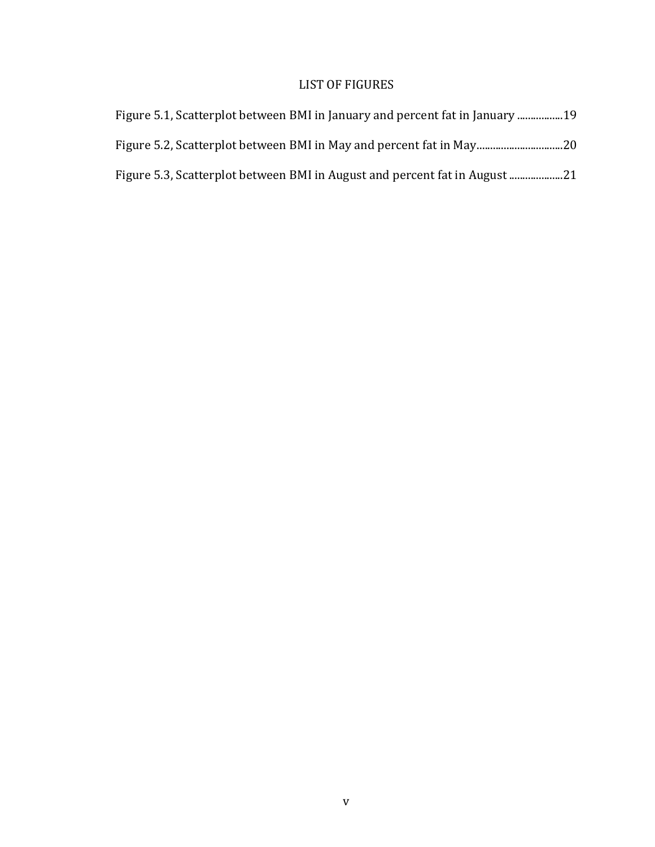### LIST OF FIGURES

| Figure 5.1, Scatterplot between BMI in January and percent fat in January 19 |
|------------------------------------------------------------------------------|
|                                                                              |
| Figure 5.3, Scatterplot between BMI in August and percent fat in August      |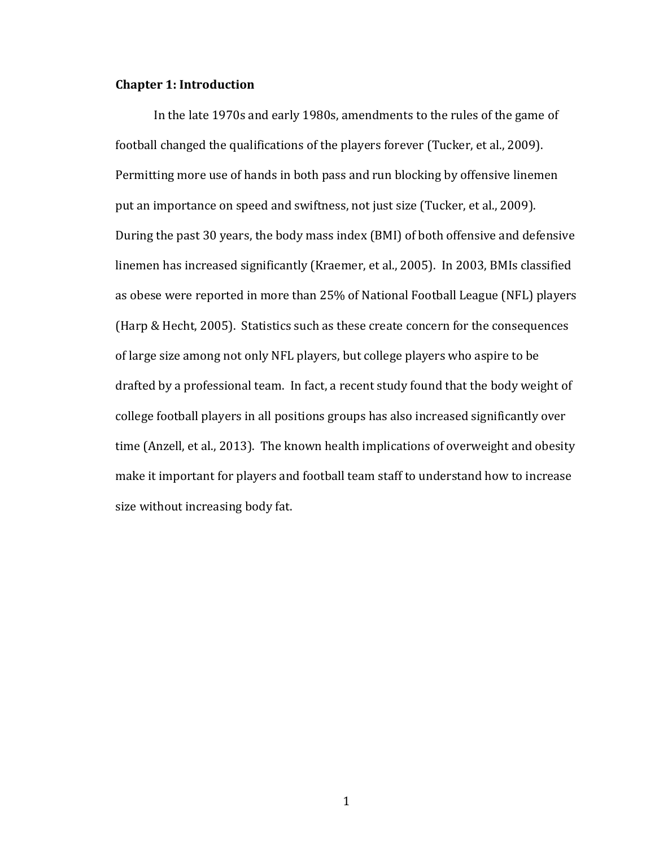#### **Chapter 1: Introduction**

In the late 1970s and early 1980s, amendments to the rules of the game of football changed the qualifications of the players forever (Tucker, et al., 2009). Permitting more use of hands in both pass and run blocking by offensive linemen put an importance on speed and swiftness, not just size (Tucker, et al., 2009). During the past 30 years, the body mass index (BMI) of both offensive and defensive linemen has increased significantly (Kraemer, et al., 2005). In 2003, BMIs classified as obese were reported in more than 25% of National Football League (NFL) players (Harp & Hecht, 2005). Statistics such as these create concern for the consequences of large size among not only NFL players, but college players who aspire to be drafted by a professional team. In fact, a recent study found that the body weight of college football players in all positions groups has also increased significantly over time (Anzell, et al., 2013). The known health implications of overweight and obesity make it important for players and football team staff to understand how to increase size without increasing body fat.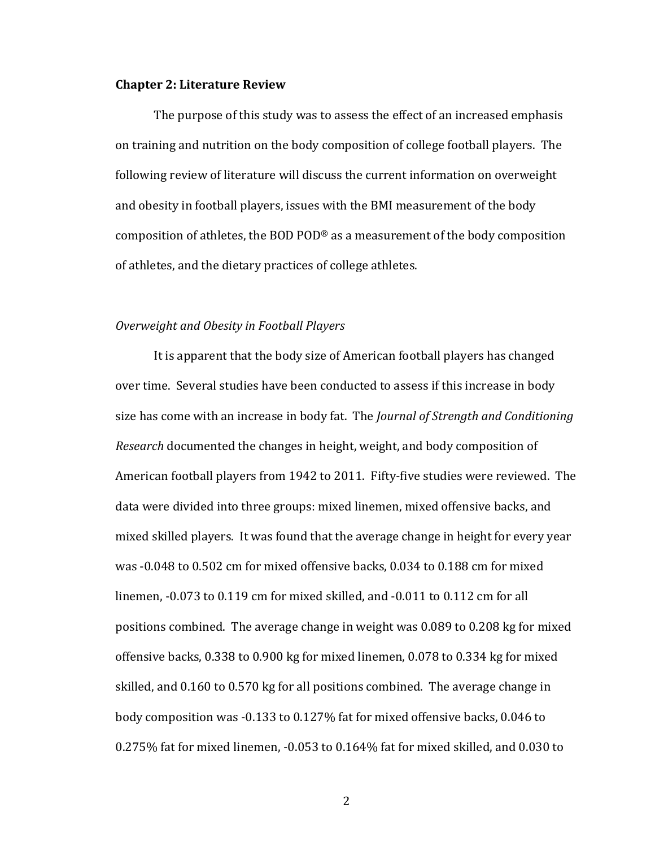#### **Chapter 2: Literature Review**

The purpose of this study was to assess the effect of an increased emphasis on training and nutrition on the body composition of college football players. The following review of literature will discuss the current information on overweight and obesity in football players, issues with the BMI measurement of the body composition of athletes, the BOD POD® as a measurement of the body composition of athletes, and the dietary practices of college athletes.

#### *Overweight and Obesity in Football Players*

It is apparent that the body size of American football players has changed over time. Several studies have been conducted to assess if this increase in body size has come with an increase in body fat. The *Journal of Strength and Conditioning Research* documented the changes in height, weight, and body composition of American football players from 1942 to 2011. Fifty-five studies were reviewed. The data were divided into three groups: mixed linemen, mixed offensive backs, and mixed skilled players. It was found that the average change in height for every year was -0.048 to 0.502 cm for mixed offensive backs, 0.034 to 0.188 cm for mixed linemen, -0.073 to 0.119 cm for mixed skilled, and -0.011 to 0.112 cm for all positions combined. The average change in weight was 0.089 to 0.208 kg for mixed offensive backs, 0.338 to 0.900 kg for mixed linemen, 0.078 to 0.334 kg for mixed skilled, and 0.160 to 0.570 kg for all positions combined. The average change in body composition was -0.133 to 0.127% fat for mixed offensive backs, 0.046 to 0.275% fat for mixed linemen, -0.053 to 0.164% fat for mixed skilled, and 0.030 to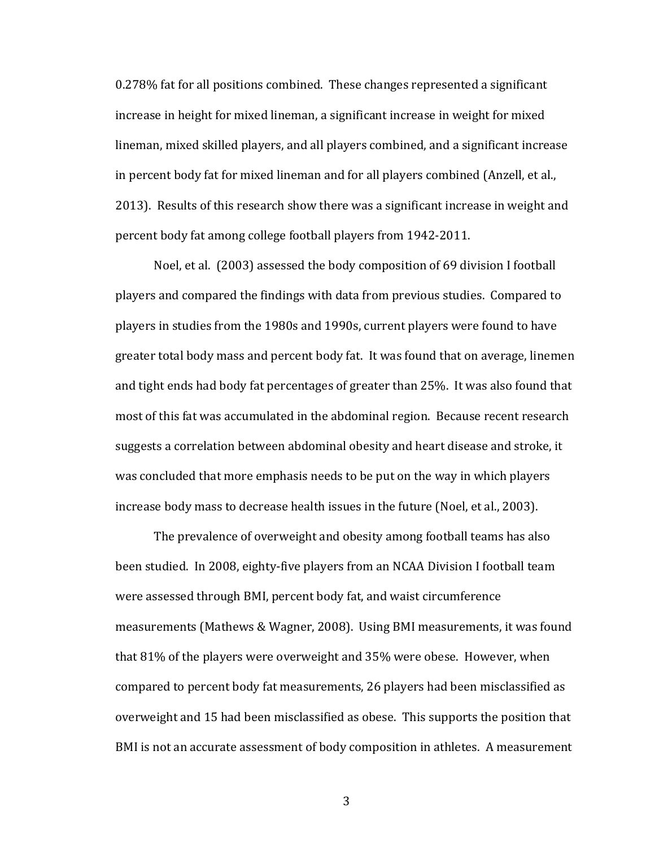0.278% fat for all positions combined. These changes represented a significant increase in height for mixed lineman, a significant increase in weight for mixed lineman, mixed skilled players, and all players combined, and a significant increase in percent body fat for mixed lineman and for all players combined (Anzell, et al., 2013). Results of this research show there was a significant increase in weight and percent body fat among college football players from 1942-2011.

Noel, et al. (2003) assessed the body composition of 69 division I football players and compared the findings with data from previous studies. Compared to players in studies from the 1980s and 1990s, current players were found to have greater total body mass and percent body fat. It was found that on average, linemen and tight ends had body fat percentages of greater than 25%. It was also found that most of this fat was accumulated in the abdominal region. Because recent research suggests a correlation between abdominal obesity and heart disease and stroke, it was concluded that more emphasis needs to be put on the way in which players increase body mass to decrease health issues in the future (Noel, et al., 2003).

The prevalence of overweight and obesity among football teams has also been studied. In 2008, eighty-five players from an NCAA Division I football team were assessed through BMI, percent body fat, and waist circumference measurements (Mathews & Wagner, 2008). Using BMI measurements, it was found that 81% of the players were overweight and 35% were obese. However, when compared to percent body fat measurements, 26 players had been misclassified as overweight and 15 had been misclassified as obese. This supports the position that BMI is not an accurate assessment of body composition in athletes. A measurement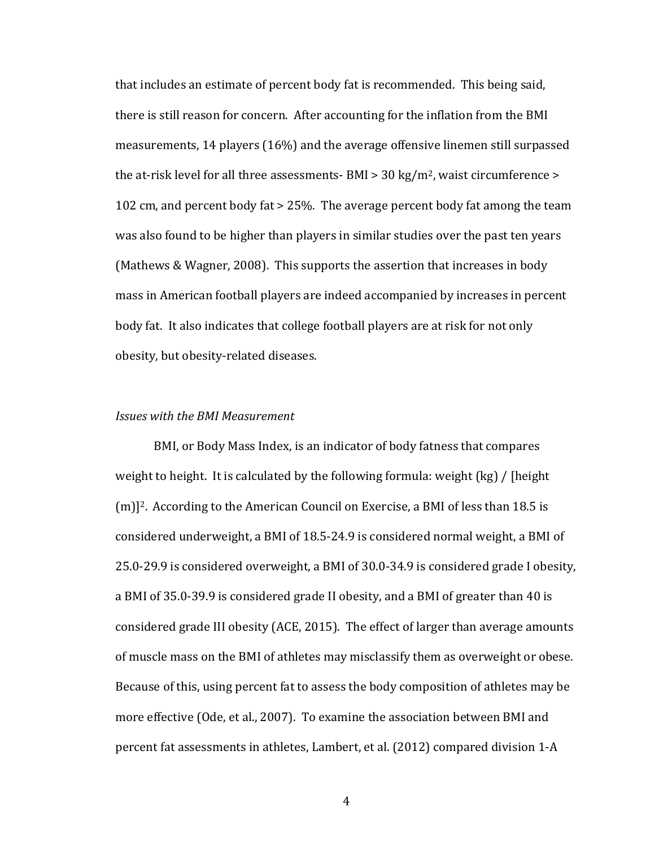that includes an estimate of percent body fat is recommended. This being said, there is still reason for concern. After accounting for the inflation from the BMI measurements, 14 players (16%) and the average offensive linemen still surpassed the at-risk level for all three assessments- BMI  $>$  30 kg/m<sup>2</sup>, waist circumference  $>$ 102 cm, and percent body fat > 25%. The average percent body fat among the team was also found to be higher than players in similar studies over the past ten years (Mathews & Wagner, 2008). This supports the assertion that increases in body mass in American football players are indeed accompanied by increases in percent body fat. It also indicates that college football players are at risk for not only obesity, but obesity-related diseases.

#### *Issues with the BMI Measurement*

BMI, or Body Mass Index, is an indicator of body fatness that compares weight to height. It is calculated by the following formula: weight (kg) / [height (m)]2. According to the American Council on Exercise, a BMI of less than 18.5 is considered underweight, a BMI of 18.5-24.9 is considered normal weight, a BMI of 25.0-29.9 is considered overweight, a BMI of 30.0-34.9 is considered grade I obesity, a BMI of 35.0-39.9 is considered grade II obesity, and a BMI of greater than 40 is considered grade III obesity (ACE, 2015). The effect of larger than average amounts of muscle mass on the BMI of athletes may misclassify them as overweight or obese. Because of this, using percent fat to assess the body composition of athletes may be more effective (Ode, et al., 2007). To examine the association between BMI and percent fat assessments in athletes, Lambert, et al. (2012) compared division 1-A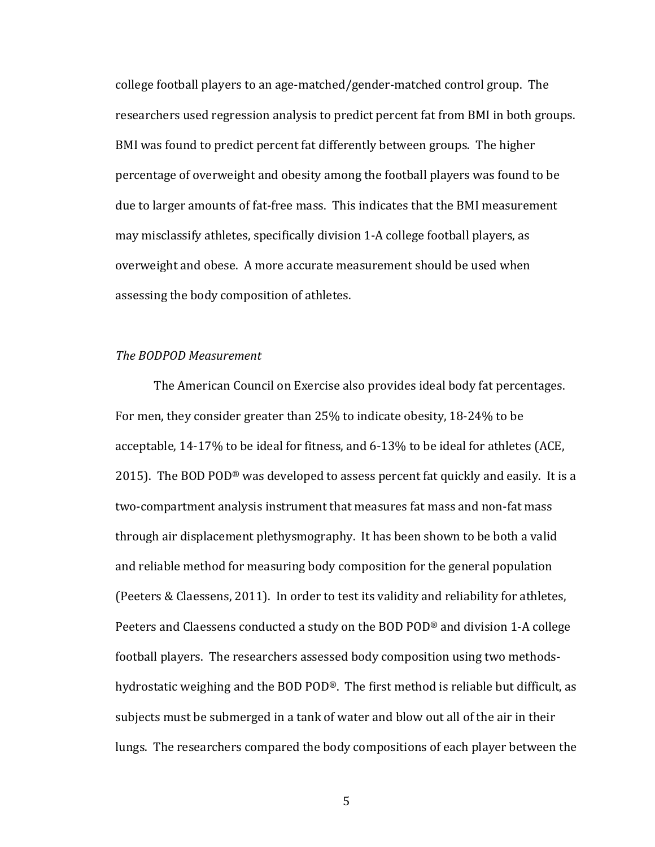college football players to an age-matched/gender-matched control group. The researchers used regression analysis to predict percent fat from BMI in both groups. BMI was found to predict percent fat differently between groups. The higher percentage of overweight and obesity among the football players was found to be due to larger amounts of fat-free mass. This indicates that the BMI measurement may misclassify athletes, specifically division 1-A college football players, as overweight and obese. A more accurate measurement should be used when assessing the body composition of athletes.

#### *The BODPOD Measurement*

The American Council on Exercise also provides ideal body fat percentages. For men, they consider greater than 25% to indicate obesity, 18-24% to be acceptable, 14-17% to be ideal for fitness, and 6-13% to be ideal for athletes (ACE, 2015). The BOD POD® was developed to assess percent fat quickly and easily. It is a two-compartment analysis instrument that measures fat mass and non-fat mass through air displacement plethysmography. It has been shown to be both a valid and reliable method for measuring body composition for the general population (Peeters & Claessens, 2011). In order to test its validity and reliability for athletes, Peeters and Claessens conducted a study on the BOD POD® and division 1-A college football players. The researchers assessed body composition using two methodshydrostatic weighing and the BOD POD®. The first method is reliable but difficult, as subjects must be submerged in a tank of water and blow out all of the air in their lungs. The researchers compared the body compositions of each player between the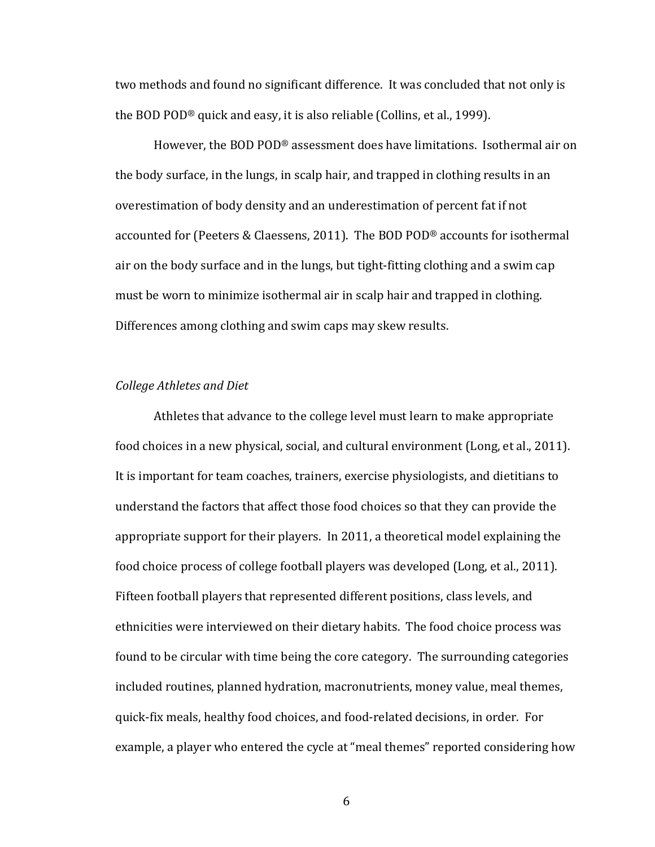two methods and found no significant difference. It was concluded that not only is the BOD POD® quick and easy, it is also reliable (Collins, et al., 1999).

However, the BOD POD® assessment does have limitations. Isothermal air on the body surface, in the lungs, in scalp hair, and trapped in clothing results in an overestimation of body density and an underestimation of percent fat if not accounted for (Peeters & Claessens, 2011). The BOD POD® accounts for isothermal air on the body surface and in the lungs, but tight-fitting clothing and a swim cap must be worn to minimize isothermal air in scalp hair and trapped in clothing. Differences among clothing and swim caps may skew results.

#### *College Athletes and Diet*

Athletes that advance to the college level must learn to make appropriate food choices in a new physical, social, and cultural environment (Long, et al., 2011). It is important for team coaches, trainers, exercise physiologists, and dietitians to understand the factors that affect those food choices so that they can provide the appropriate support for their players. In 2011, a theoretical model explaining the food choice process of college football players was developed (Long, et al., 2011). Fifteen football players that represented different positions, class levels, and ethnicities were interviewed on their dietary habits. The food choice process was found to be circular with time being the core category. The surrounding categories included routines, planned hydration, macronutrients, money value, meal themes, quick-fix meals, healthy food choices, and food-related decisions, in order. For example, a player who entered the cycle at "meal themes" reported considering how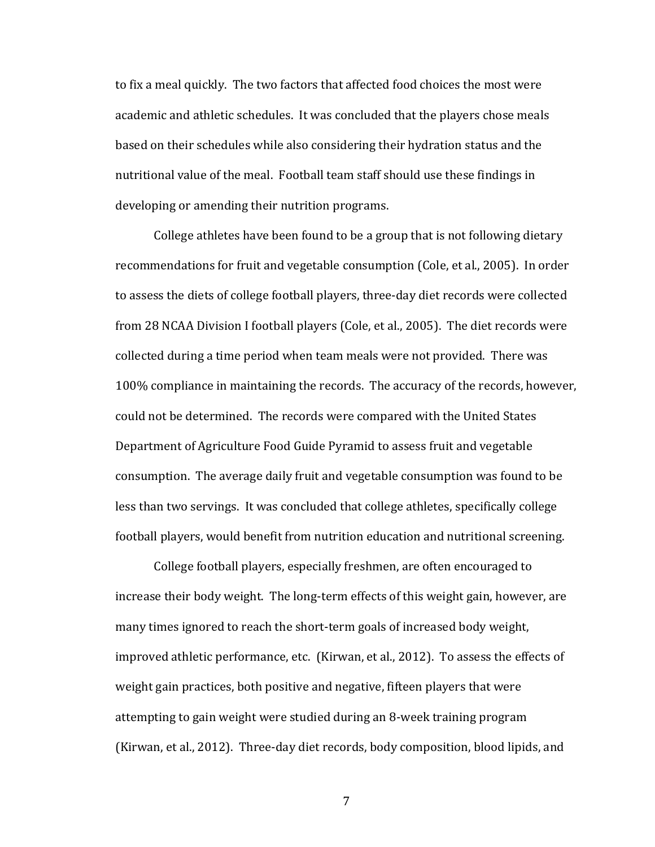to fix a meal quickly. The two factors that affected food choices the most were academic and athletic schedules. It was concluded that the players chose meals based on their schedules while also considering their hydration status and the nutritional value of the meal. Football team staff should use these findings in developing or amending their nutrition programs.

College athletes have been found to be a group that is not following dietary recommendations for fruit and vegetable consumption (Cole, et al., 2005). In order to assess the diets of college football players, three-day diet records were collected from 28 NCAA Division I football players (Cole, et al., 2005). The diet records were collected during a time period when team meals were not provided. There was 100% compliance in maintaining the records. The accuracy of the records, however, could not be determined. The records were compared with the United States Department of Agriculture Food Guide Pyramid to assess fruit and vegetable consumption. The average daily fruit and vegetable consumption was found to be less than two servings. It was concluded that college athletes, specifically college football players, would benefit from nutrition education and nutritional screening.

College football players, especially freshmen, are often encouraged to increase their body weight. The long-term effects of this weight gain, however, are many times ignored to reach the short-term goals of increased body weight, improved athletic performance, etc. (Kirwan, et al., 2012). To assess the effects of weight gain practices, both positive and negative, fifteen players that were attempting to gain weight were studied during an 8-week training program (Kirwan, et al., 2012). Three-day diet records, body composition, blood lipids, and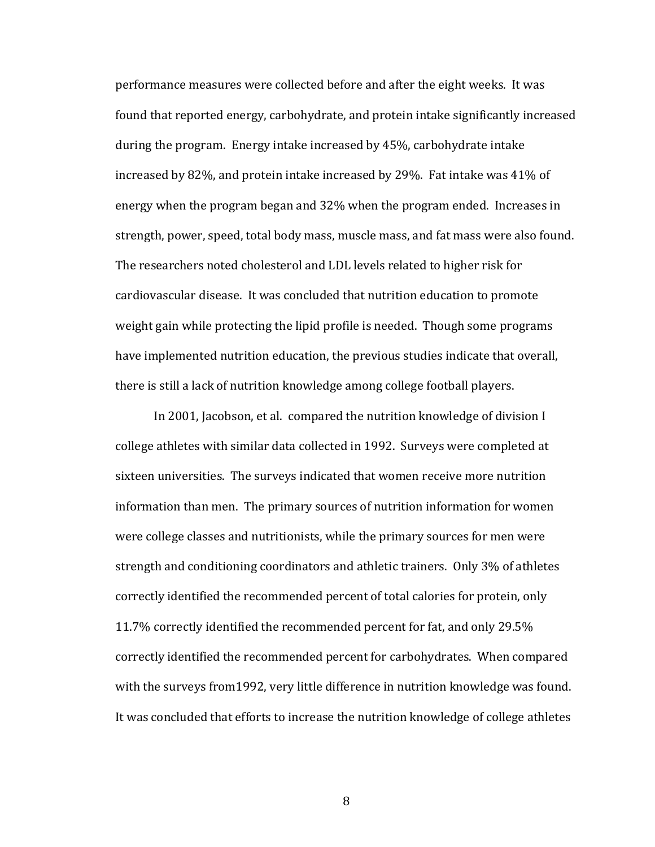performance measures were collected before and after the eight weeks. It was found that reported energy, carbohydrate, and protein intake significantly increased during the program. Energy intake increased by 45%, carbohydrate intake increased by 82%, and protein intake increased by 29%. Fat intake was 41% of energy when the program began and 32% when the program ended. Increases in strength, power, speed, total body mass, muscle mass, and fat mass were also found. The researchers noted cholesterol and LDL levels related to higher risk for cardiovascular disease. It was concluded that nutrition education to promote weight gain while protecting the lipid profile is needed. Though some programs have implemented nutrition education, the previous studies indicate that overall, there is still a lack of nutrition knowledge among college football players.

In 2001, Jacobson, et al. compared the nutrition knowledge of division I college athletes with similar data collected in 1992. Surveys were completed at sixteen universities. The surveys indicated that women receive more nutrition information than men. The primary sources of nutrition information for women were college classes and nutritionists, while the primary sources for men were strength and conditioning coordinators and athletic trainers. Only 3% of athletes correctly identified the recommended percent of total calories for protein, only 11.7% correctly identified the recommended percent for fat, and only 29.5% correctly identified the recommended percent for carbohydrates. When compared with the surveys from1992, very little difference in nutrition knowledge was found. It was concluded that efforts to increase the nutrition knowledge of college athletes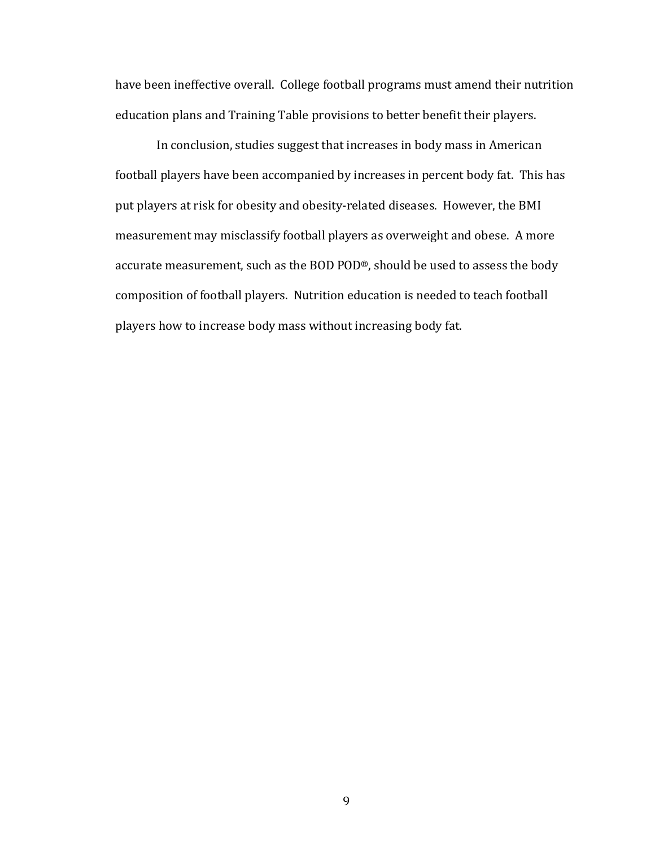have been ineffective overall. College football programs must amend their nutrition education plans and Training Table provisions to better benefit their players.

In conclusion, studies suggest that increases in body mass in American football players have been accompanied by increases in percent body fat. This has put players at risk for obesity and obesity-related diseases. However, the BMI measurement may misclassify football players as overweight and obese. A more accurate measurement, such as the BOD POD®, should be used to assess the body composition of football players. Nutrition education is needed to teach football players how to increase body mass without increasing body fat.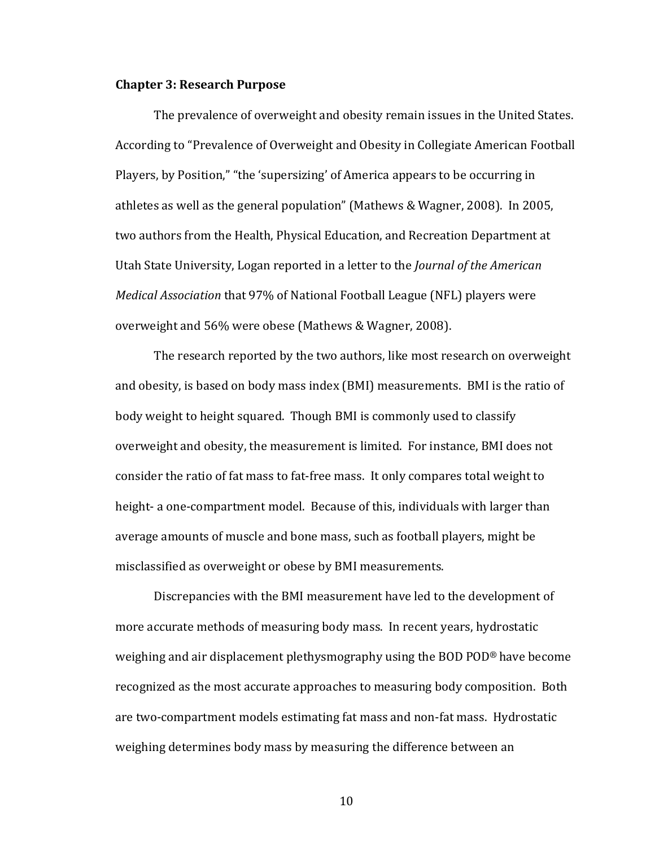#### **Chapter 3: Research Purpose**

The prevalence of overweight and obesity remain issues in the United States. According to "Prevalence of Overweight and Obesity in Collegiate American Football Players, by Position," "the 'supersizing' of America appears to be occurring in athletes as well as the general population" (Mathews & Wagner, 2008). In 2005, two authors from the Health, Physical Education, and Recreation Department at Utah State University, Logan reported in a letter to the *Journal of the American Medical Association* that 97% of National Football League (NFL) players were overweight and 56% were obese (Mathews & Wagner, 2008).

The research reported by the two authors, like most research on overweight and obesity, is based on body mass index (BMI) measurements. BMI is the ratio of body weight to height squared. Though BMI is commonly used to classify overweight and obesity, the measurement is limited. For instance, BMI does not consider the ratio of fat mass to fat-free mass. It only compares total weight to height- a one-compartment model. Because of this, individuals with larger than average amounts of muscle and bone mass, such as football players, might be misclassified as overweight or obese by BMI measurements.

Discrepancies with the BMI measurement have led to the development of more accurate methods of measuring body mass. In recent years, hydrostatic weighing and air displacement plethysmography using the BOD POD® have become recognized as the most accurate approaches to measuring body composition. Both are two-compartment models estimating fat mass and non-fat mass. Hydrostatic weighing determines body mass by measuring the difference between an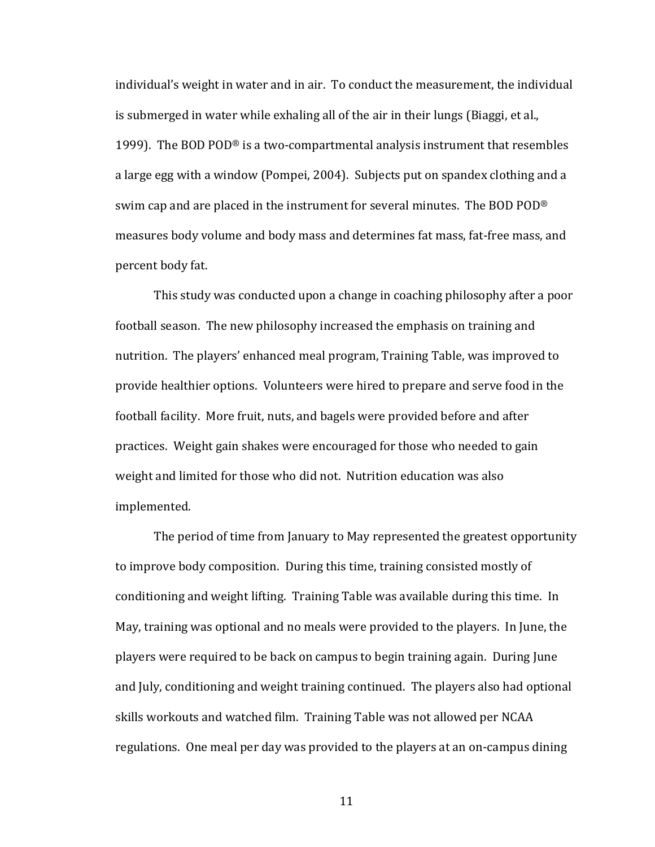individual's weight in water and in air. To conduct the measurement, the individual is submerged in water while exhaling all of the air in their lungs (Biaggi, et al., 1999). The BOD POD<sup>®</sup> is a two-compartmental analysis instrument that resembles a large egg with a window (Pompei, 2004). Subjects put on spandex clothing and a swim cap and are placed in the instrument for several minutes. The BOD POD® measures body volume and body mass and determines fat mass, fat-free mass, and percent body fat.

This study was conducted upon a change in coaching philosophy after a poor football season. The new philosophy increased the emphasis on training and nutrition. The players' enhanced meal program, Training Table, was improved to provide healthier options. Volunteers were hired to prepare and serve food in the football facility. More fruit, nuts, and bagels were provided before and after practices. Weight gain shakes were encouraged for those who needed to gain weight and limited for those who did not. Nutrition education was also implemented.

The period of time from January to May represented the greatest opportunity to improve body composition. During this time, training consisted mostly of conditioning and weight lifting. Training Table was available during this time. In May, training was optional and no meals were provided to the players. In June, the players were required to be back on campus to begin training again. During June and July, conditioning and weight training continued. The players also had optional skills workouts and watched film. Training Table was not allowed per NCAA regulations. One meal per day was provided to the players at an on-campus dining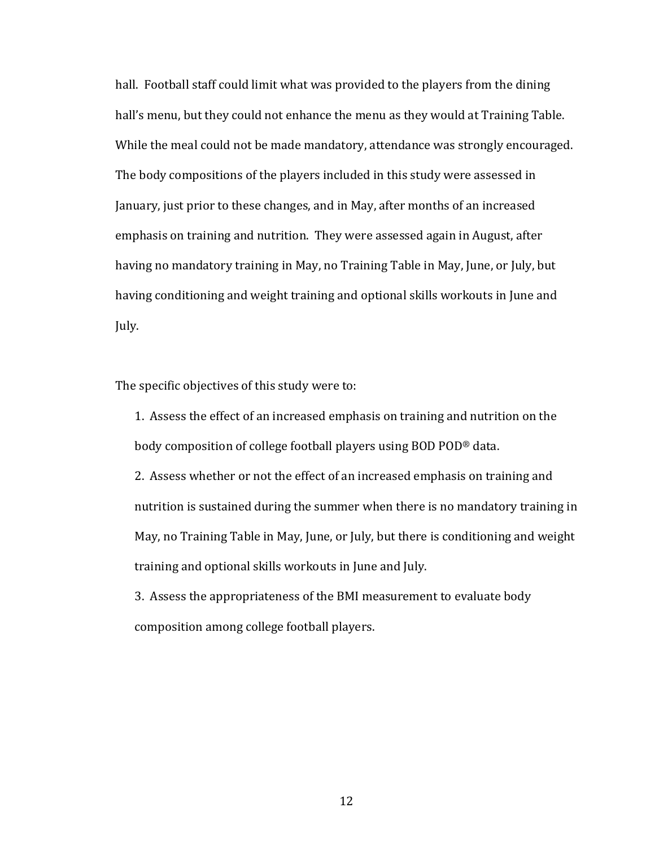hall. Football staff could limit what was provided to the players from the dining hall's menu, but they could not enhance the menu as they would at Training Table. While the meal could not be made mandatory, attendance was strongly encouraged. The body compositions of the players included in this study were assessed in January, just prior to these changes, and in May, after months of an increased emphasis on training and nutrition. They were assessed again in August, after having no mandatory training in May, no Training Table in May, June, or July, but having conditioning and weight training and optional skills workouts in June and July.

The specific objectives of this study were to:

1. Assess the effect of an increased emphasis on training and nutrition on the body composition of college football players using BOD POD® data.

2. Assess whether or not the effect of an increased emphasis on training and nutrition is sustained during the summer when there is no mandatory training in May, no Training Table in May, June, or July, but there is conditioning and weight training and optional skills workouts in June and July.

3. Assess the appropriateness of the BMI measurement to evaluate body composition among college football players.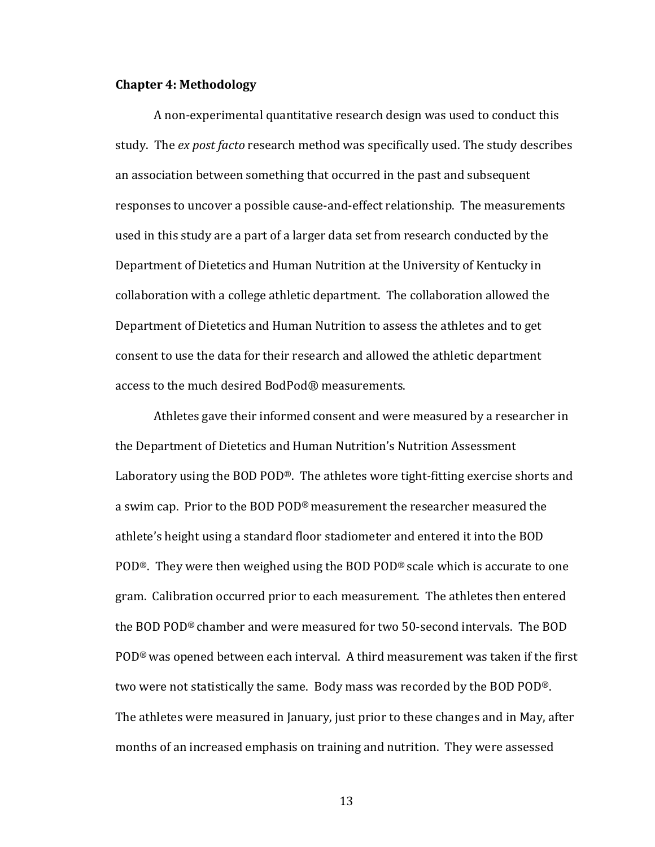#### **Chapter 4: Methodology**

A non-experimental quantitative research design was used to conduct this study. The *ex post facto* research method was specifically used. The study describes an association between something that occurred in the past and subsequent responses to uncover a possible cause-and-effect relationship. The measurements used in this study are a part of a larger data set from research conducted by the Department of Dietetics and Human Nutrition at the University of Kentucky in collaboration with a college athletic department. The collaboration allowed the Department of Dietetics and Human Nutrition to assess the athletes and to get consent to use the data for their research and allowed the athletic department access to the much desired BodPod® measurements.

Athletes gave their informed consent and were measured by a researcher in the Department of Dietetics and Human Nutrition's Nutrition Assessment Laboratory using the BOD POD®. The athletes wore tight-fitting exercise shorts and a swim cap. Prior to the BOD POD® measurement the researcher measured the athlete's height using a standard floor stadiometer and entered it into the BOD POD®. They were then weighed using the BOD POD® scale which is accurate to one gram. Calibration occurred prior to each measurement. The athletes then entered the BOD POD® chamber and were measured for two 50-second intervals. The BOD POD® was opened between each interval. A third measurement was taken if the first two were not statistically the same. Body mass was recorded by the BOD POD®. The athletes were measured in January, just prior to these changes and in May, after months of an increased emphasis on training and nutrition. They were assessed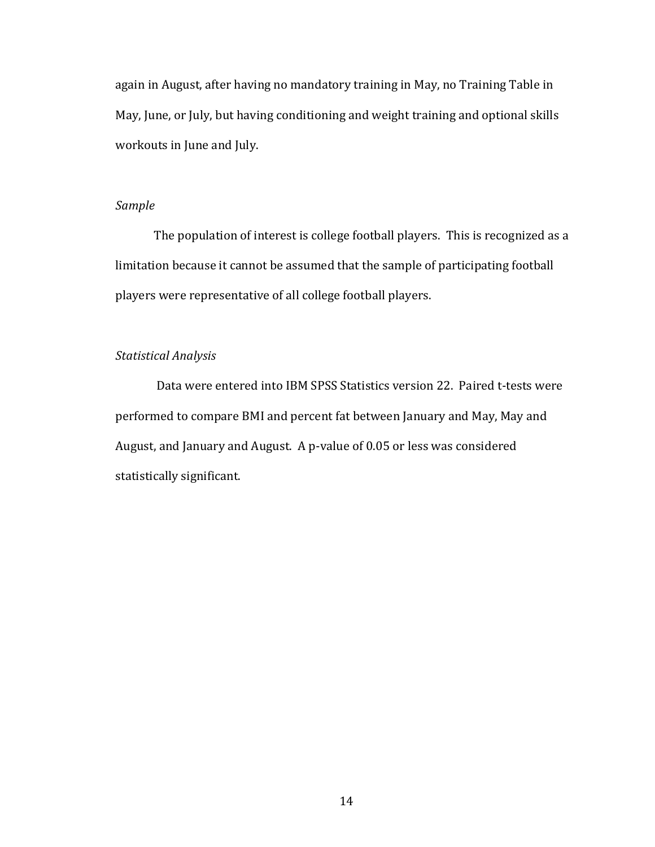again in August, after having no mandatory training in May, no Training Table in May, June, or July, but having conditioning and weight training and optional skills workouts in June and July.

#### *Sample*

The population of interest is college football players. This is recognized as a limitation because it cannot be assumed that the sample of participating football players were representative of all college football players.

#### *Statistical Analysis*

Data were entered into IBM SPSS Statistics version 22. Paired t-tests were performed to compare BMI and percent fat between January and May, May and August, and January and August. A p-value of 0.05 or less was considered statistically significant.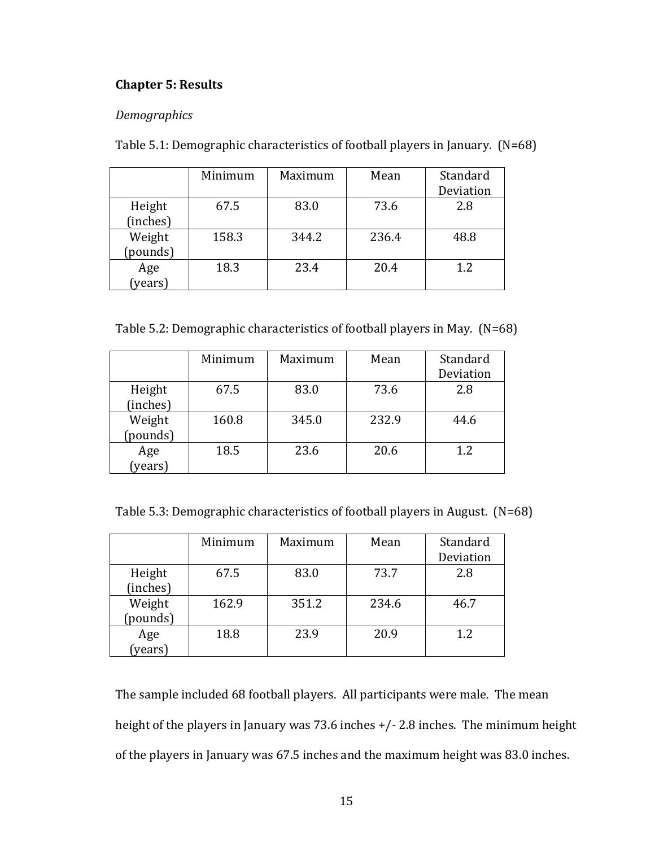### **Chapter 5: Results**

#### *Demographics*

| Table 5.1: Demographic characteristics of football players in January. (N=68) |  |  |
|-------------------------------------------------------------------------------|--|--|
|-------------------------------------------------------------------------------|--|--|

|          | Minimum | Maximum | Mean  | Standard  |
|----------|---------|---------|-------|-----------|
|          |         |         |       | Deviation |
| Height   | 67.5    | 83.0    | 73.6  | 2.8       |
| (inches) |         |         |       |           |
| Weight   | 158.3   | 344.2   | 236.4 | 48.8      |
| (pounds) |         |         |       |           |
| Age      | 18.3    | 23.4    | 20.4  | 1.2       |
| (years)  |         |         |       |           |

Table 5.2: Demographic characteristics of football players in May. (N=68)

|                | Minimum | Maximum | Mean  | Standard  |
|----------------|---------|---------|-------|-----------|
|                |         |         |       | Deviation |
| Height         | 67.5    | 83.0    | 73.6  | 2.8       |
| (inches)       |         |         |       |           |
| Weight         | 160.8   | 345.0   | 232.9 | 44.6      |
| (pounds)       |         |         |       |           |
|                | 18.5    | 23.6    | 20.6  | 1.2       |
| Age<br>(years) |         |         |       |           |

Table 5.3: Demographic characteristics of football players in August. (N=68)

|                    | Minimum | Maximum | Mean  | Standard  |
|--------------------|---------|---------|-------|-----------|
|                    |         |         |       | Deviation |
| Height<br>(inches) | 67.5    | 83.0    | 73.7  | 2.8       |
| Weight<br>(pounds) | 162.9   | 351.2   | 234.6 | 46.7      |
| Age<br>(years)     | 18.8    | 23.9    | 20.9  | 1.2       |

The sample included 68 football players. All participants were male. The mean height of the players in January was 73.6 inches +/- 2.8 inches. The minimum height of the players in January was 67.5 inches and the maximum height was 83.0 inches.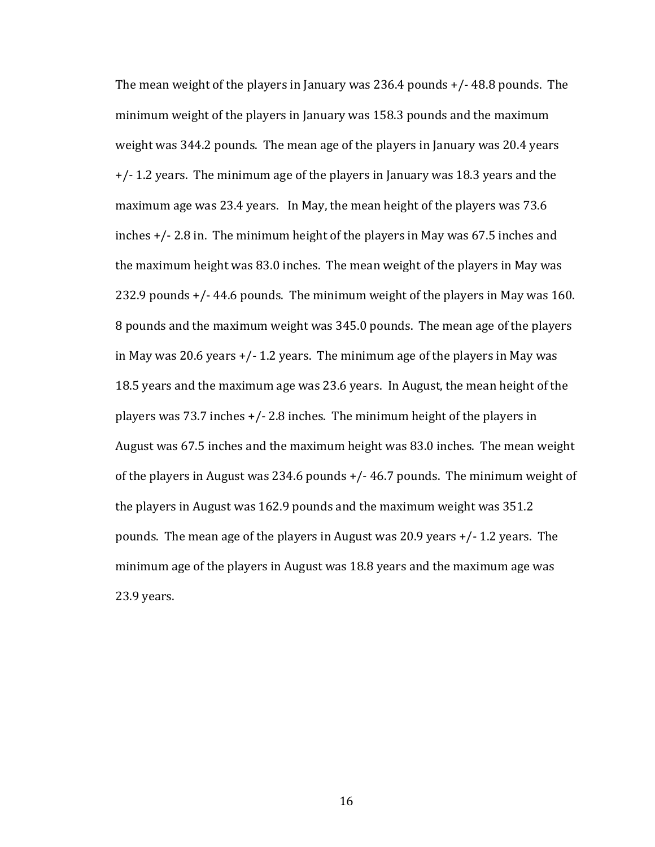The mean weight of the players in January was 236.4 pounds +/- 48.8 pounds. The minimum weight of the players in January was 158.3 pounds and the maximum weight was 344.2 pounds. The mean age of the players in January was 20.4 years +/- 1.2 years. The minimum age of the players in January was 18.3 years and the maximum age was 23.4 years. In May, the mean height of the players was 73.6 inches +/- 2.8 in. The minimum height of the players in May was 67.5 inches and the maximum height was 83.0 inches. The mean weight of the players in May was 232.9 pounds +/- 44.6 pounds. The minimum weight of the players in May was 160. 8 pounds and the maximum weight was 345.0 pounds. The mean age of the players in May was 20.6 years  $+/- 1.2$  years. The minimum age of the players in May was 18.5 years and the maximum age was 23.6 years. In August, the mean height of the players was 73.7 inches +/- 2.8 inches. The minimum height of the players in August was 67.5 inches and the maximum height was 83.0 inches. The mean weight of the players in August was 234.6 pounds +/- 46.7 pounds. The minimum weight of the players in August was 162.9 pounds and the maximum weight was 351.2 pounds. The mean age of the players in August was 20.9 years +/- 1.2 years. The minimum age of the players in August was 18.8 years and the maximum age was 23.9 years.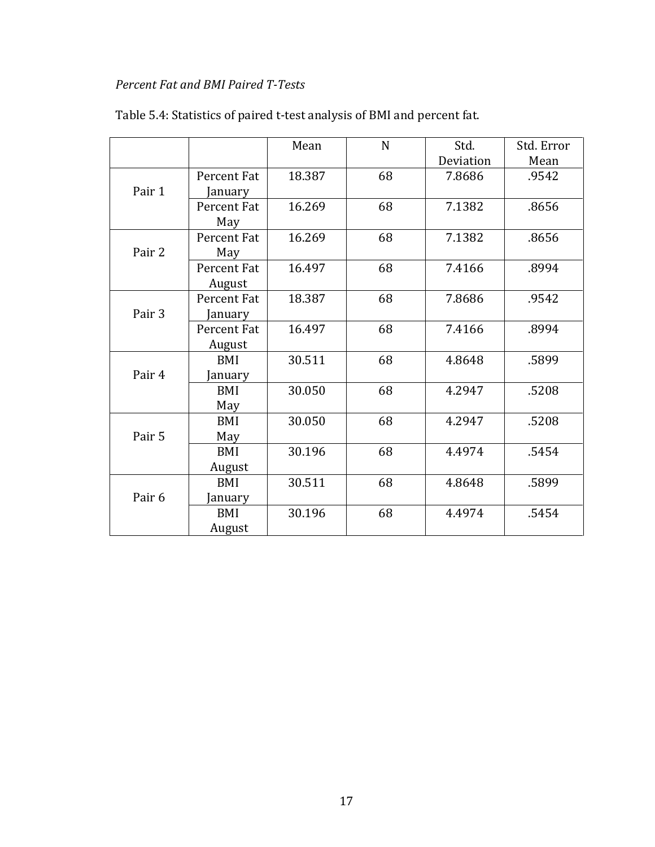### *Percent Fat and BMI Paired T-Tests*

|        |             | Mean   | $\mathbf N$ | Std.      | Std. Error |
|--------|-------------|--------|-------------|-----------|------------|
|        |             |        |             | Deviation | Mean       |
|        | Percent Fat | 18.387 | 68          | 7.8686    | .9542      |
| Pair 1 | anuary      |        |             |           |            |
|        | Percent Fat | 16.269 | 68          | 7.1382    | .8656      |
|        | May         |        |             |           |            |
|        | Percent Fat | 16.269 | 68          | 7.1382    | .8656      |
| Pair 2 | May         |        |             |           |            |
|        | Percent Fat | 16.497 | 68          | 7.4166    | .8994      |
|        | August      |        |             |           |            |
|        | Percent Fat | 18.387 | 68          | 7.8686    | .9542      |
| Pair 3 | January     |        |             |           |            |
|        | Percent Fat | 16.497 | 68          | 7.4166    | .8994      |
|        | August      |        |             |           |            |
|        | BMI         | 30.511 | 68          | 4.8648    | .5899      |
| Pair 4 | anuary      |        |             |           |            |
|        | BMI         | 30.050 | 68          | 4.2947    | .5208      |
|        | May         |        |             |           |            |
|        | BMI         | 30.050 | 68          | 4.2947    | .5208      |
| Pair 5 | May         |        |             |           |            |
|        | <b>BMI</b>  | 30.196 | 68          | 4.4974    | .5454      |
|        | August      |        |             |           |            |
|        | BMI         | 30.511 | 68          | 4.8648    | .5899      |
| Pair 6 | January     |        |             |           |            |
|        | BMI         | 30.196 | 68          | 4.4974    | .5454      |
|        | August      |        |             |           |            |

## Table 5.4: Statistics of paired t-test analysis of BMI and percent fat.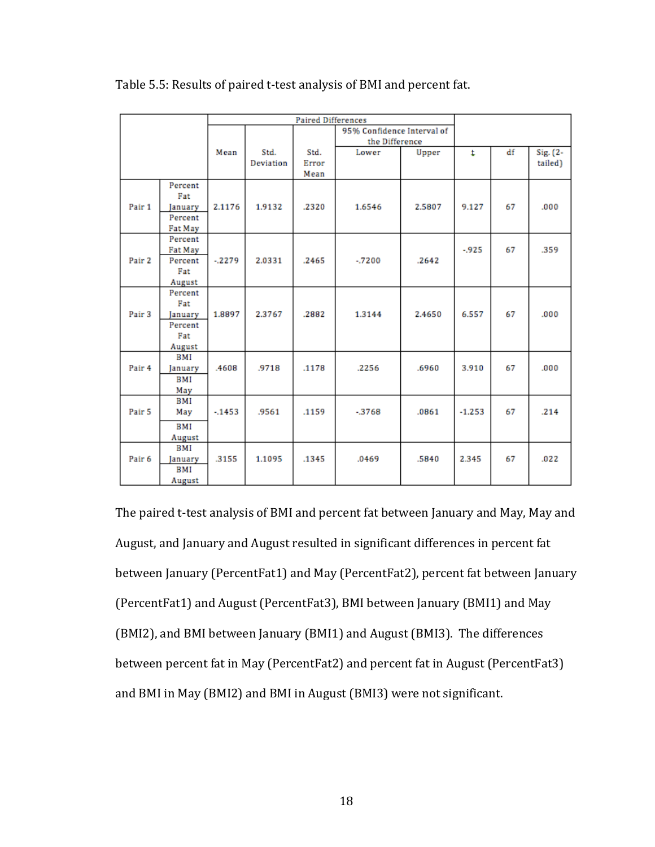|                   |                | <b>Paired Differences</b> |           |       |                            |        |                     |    |          |
|-------------------|----------------|---------------------------|-----------|-------|----------------------------|--------|---------------------|----|----------|
|                   |                |                           |           |       | 95% Confidence Interval of |        |                     |    |          |
|                   |                |                           |           |       | the Difference             |        |                     |    |          |
|                   |                | Mean                      | Std.      | Std.  | Lower                      | Upper  | $\ddot{\mathbf{r}}$ | df | Sig. (2- |
|                   |                |                           | Deviation | Error |                            |        |                     |    | tailed)  |
|                   |                |                           |           | Mean  |                            |        |                     |    |          |
|                   | Percent        |                           |           |       |                            |        |                     |    |          |
|                   | Fat            |                           |           |       |                            |        |                     |    |          |
| Pair 1            | January        | 2.1176                    | 1.9132    | .2320 | 1.6546                     | 2.5807 | 9.127               | 67 | .000     |
|                   | Percent        |                           |           |       |                            |        |                     |    |          |
|                   | Fat May        |                           |           |       |                            |        |                     |    |          |
|                   | Percent        |                           |           |       |                            |        |                     |    |          |
|                   | <b>Fat May</b> |                           |           |       |                            |        | $-925$              | 67 | .359     |
| Pair 2            | Percent        | $-2279$                   | 2.0331    | .2465 | $-7200$                    | .2642  |                     |    |          |
|                   | Fat            |                           |           |       |                            |        |                     |    |          |
|                   | August         |                           |           |       |                            |        |                     |    |          |
|                   | Percent        |                           |           |       |                            |        |                     |    |          |
|                   | Fat            |                           |           |       |                            |        |                     |    |          |
| Pair <sub>3</sub> | January        | 1.8897                    | 2.3767    | .2882 | 1.3144                     | 2.4650 | 6.557               | 67 | .000     |
|                   | Percent        |                           |           |       |                            |        |                     |    |          |
|                   | Fat            |                           |           |       |                            |        |                     |    |          |
|                   | August         |                           |           |       |                            |        |                     |    |          |
|                   | BMI            |                           |           |       |                            |        |                     |    |          |
| Pair 4            | January        | .4608                     | .9718     | .1178 | .2256                      | .6960  | 3.910               | 67 | .000     |
|                   | BMI            |                           |           |       |                            |        |                     |    |          |
|                   | May            |                           |           |       |                            |        |                     |    |          |
|                   | BMI            |                           |           |       |                            |        |                     |    |          |
| Pair <sub>5</sub> | May            | $-1453$                   | .9561     | .1159 | $-3768$                    | .0861  | $-1.253$            | 67 | .214     |
|                   | BMI            |                           |           |       |                            |        |                     |    |          |
|                   | August         |                           |           |       |                            |        |                     |    |          |
|                   | BMI            |                           |           |       |                            |        |                     |    |          |
| Pair 6            | January        | .3155                     | 1.1095    | .1345 | .0469                      | .5840  | 2.345               | 67 | .022     |
|                   | BMI            |                           |           |       |                            |        |                     |    |          |
|                   | August         |                           |           |       |                            |        |                     |    |          |

Table 5.5: Results of paired t-test analysis of BMI and percent fat.

The paired t-test analysis of BMI and percent fat between January and May, May and August, and January and August resulted in significant differences in percent fat between January (PercentFat1) and May (PercentFat2), percent fat between January (PercentFat1) and August (PercentFat3), BMI between January (BMI1) and May (BMI2), and BMI between January (BMI1) and August (BMI3). The differences between percent fat in May (PercentFat2) and percent fat in August (PercentFat3) and BMI in May (BMI2) and BMI in August (BMI3) were not significant.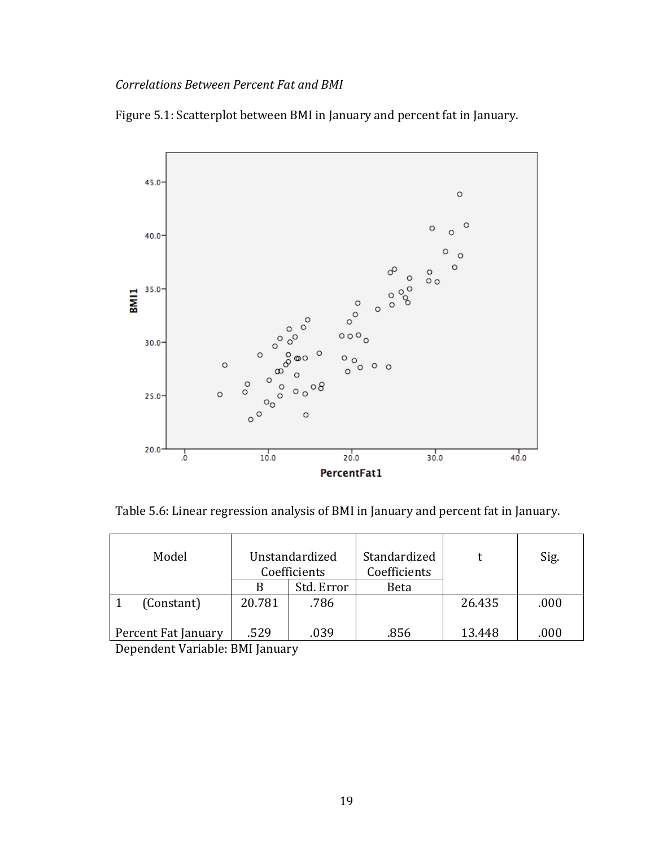### *Correlations Between Percent Fat and BMI*



Figure 5.1: Scatterplot between BMI in January and percent fat in January.

Table 5.6: Linear regression analysis of BMI in January and percent fat in January.

| Model                                      | Unstandardized |            | Standardized |        | Sig. |
|--------------------------------------------|----------------|------------|--------------|--------|------|
|                                            | Coefficients   |            | Coefficients |        |      |
|                                            | B              | Std. Error | Beta         |        |      |
| (Constant)                                 | 20.781         | .786       |              | 26.435 | .000 |
| Percent Fat January                        | .529           | .039       | .856         | 13.448 | .000 |
| $\mathbf{1}$ $\mathbf{1}$<br>$\sim$ $\sim$ | <b>DIFF</b>    |            |              |        |      |

Dependent Variable: BMI January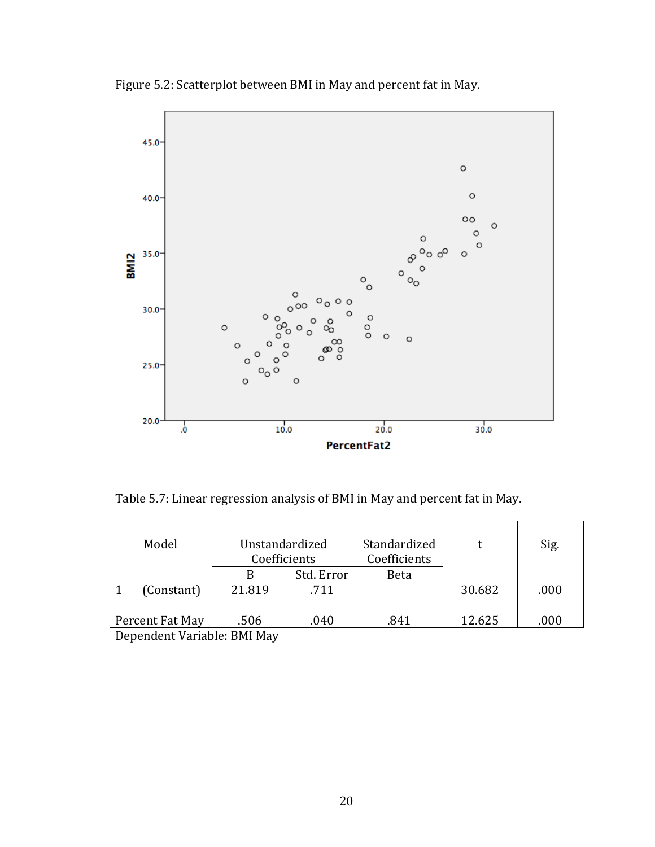

Figure 5.2: Scatterplot between BMI in May and percent fat in May.

Table 5.7: Linear regression analysis of BMI in May and percent fat in May.

| Model           | Unstandardized<br>Coefficients |            | Standardized<br>Coefficients |        | Sig. |
|-----------------|--------------------------------|------------|------------------------------|--------|------|
|                 |                                | Std. Error | <b>Beta</b>                  |        |      |
| (Constant)      | 21.819                         | .711       |                              | 30.682 | .000 |
| Percent Fat May | .506                           | .040       | .841                         | 12.625 | .000 |

Dependent Variable: BMI May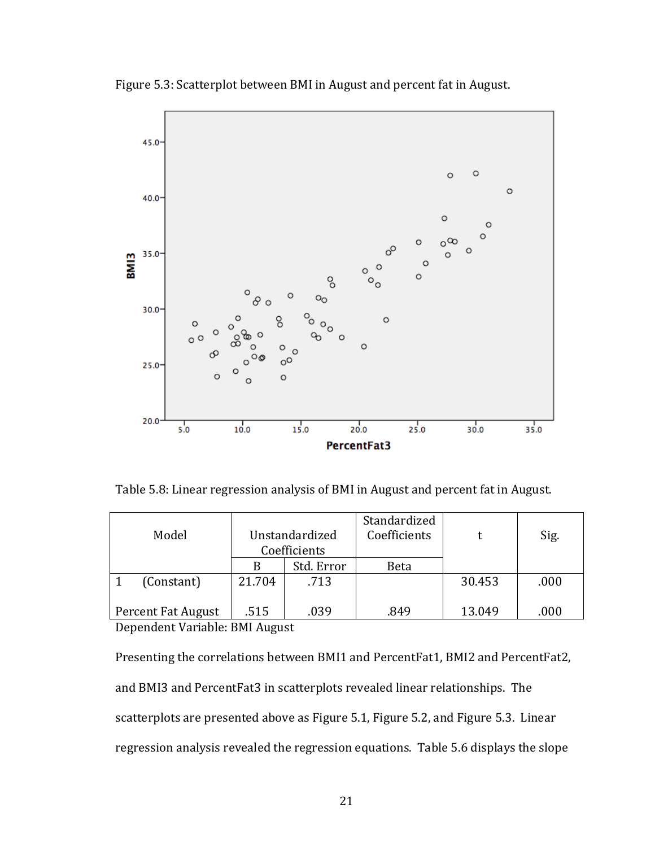

Figure 5.3: Scatterplot between BMI in August and percent fat in August.

Table 5.8: Linear regression analysis of BMI in August and percent fat in August.

|                    |                |            | Standardized |        |      |  |  |
|--------------------|----------------|------------|--------------|--------|------|--|--|
| Model              | Unstandardized |            | Coefficients |        | Sig. |  |  |
|                    | Coefficients   |            |              |        |      |  |  |
|                    |                | Std. Error | Beta         |        |      |  |  |
| (Constant)         | 21.704         | .713       |              | 30.453 | .000 |  |  |
| Percent Fat August | .515           | .039       | .849         | 13.049 | .000 |  |  |
|                    |                |            |              |        |      |  |  |

Dependent Variable: BMI August

Presenting the correlations between BMI1 and PercentFat1, BMI2 and PercentFat2, and BMI3 and PercentFat3 in scatterplots revealed linear relationships. The scatterplots are presented above as Figure 5.1, Figure 5.2, and Figure 5.3. Linear regression analysis revealed the regression equations. Table 5.6 displays the slope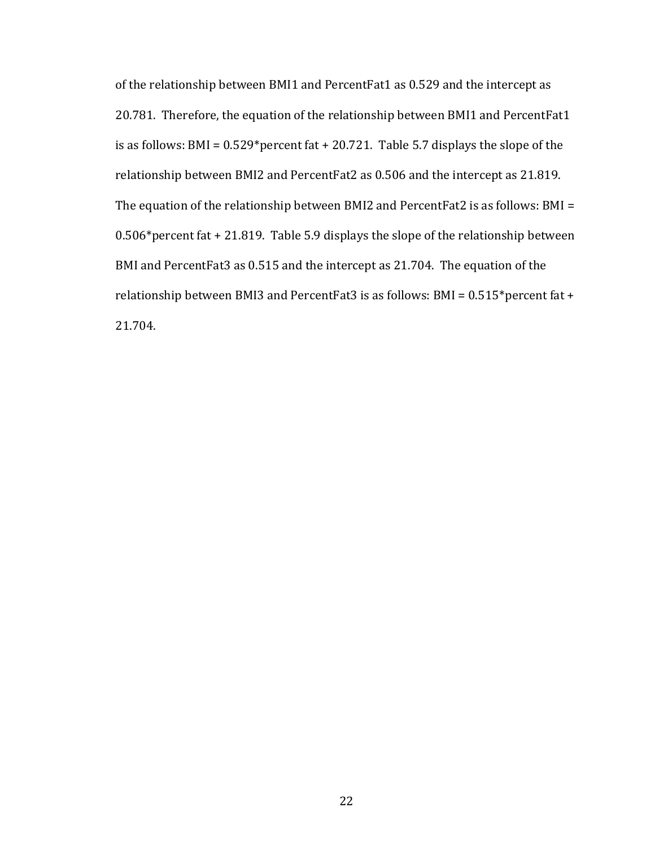of the relationship between BMI1 and PercentFat1 as 0.529 and the intercept as 20.781. Therefore, the equation of the relationship between BMI1 and PercentFat1 is as follows: BMI =  $0.529*$  percent fat + 20.721. Table 5.7 displays the slope of the relationship between BMI2 and PercentFat2 as 0.506 and the intercept as 21.819. The equation of the relationship between BMI2 and PercentFat2 is as follows: BMI = 0.506\*percent fat + 21.819. Table 5.9 displays the slope of the relationship between BMI and PercentFat3 as 0.515 and the intercept as 21.704. The equation of the relationship between BMI3 and PercentFat3 is as follows: BMI = 0.515\*percent fat + 21.704.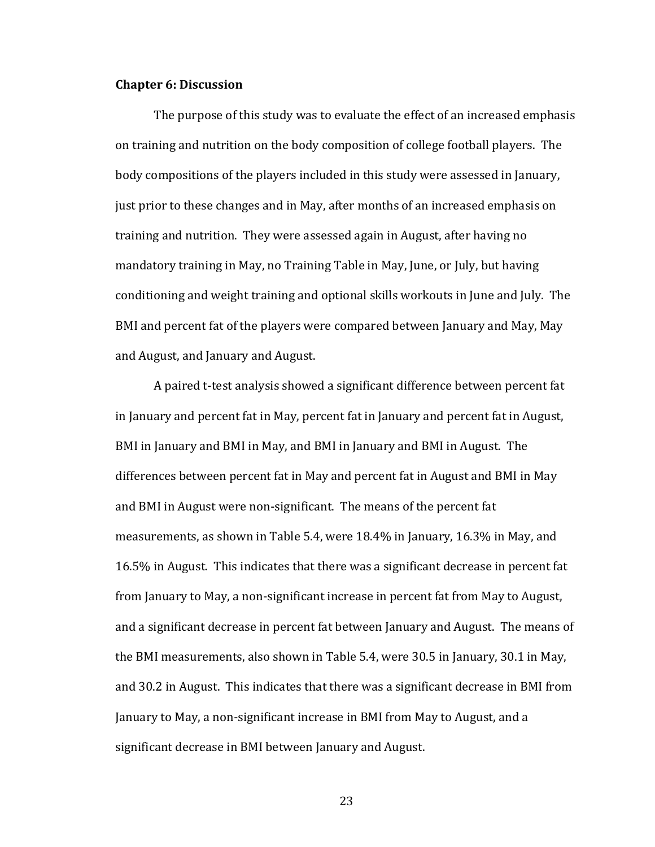#### **Chapter 6: Discussion**

The purpose of this study was to evaluate the effect of an increased emphasis on training and nutrition on the body composition of college football players. The body compositions of the players included in this study were assessed in January, just prior to these changes and in May, after months of an increased emphasis on training and nutrition. They were assessed again in August, after having no mandatory training in May, no Training Table in May, June, or July, but having conditioning and weight training and optional skills workouts in June and July. The BMI and percent fat of the players were compared between January and May, May and August, and January and August.

A paired t-test analysis showed a significant difference between percent fat in January and percent fat in May, percent fat in January and percent fat in August, BMI in January and BMI in May, and BMI in January and BMI in August. The differences between percent fat in May and percent fat in August and BMI in May and BMI in August were non-significant. The means of the percent fat measurements, as shown in Table 5.4, were 18.4% in January, 16.3% in May, and 16.5% in August. This indicates that there was a significant decrease in percent fat from January to May, a non-significant increase in percent fat from May to August, and a significant decrease in percent fat between January and August. The means of the BMI measurements, also shown in Table 5.4, were 30.5 in January, 30.1 in May, and 30.2 in August. This indicates that there was a significant decrease in BMI from January to May, a non-significant increase in BMI from May to August, and a significant decrease in BMI between January and August.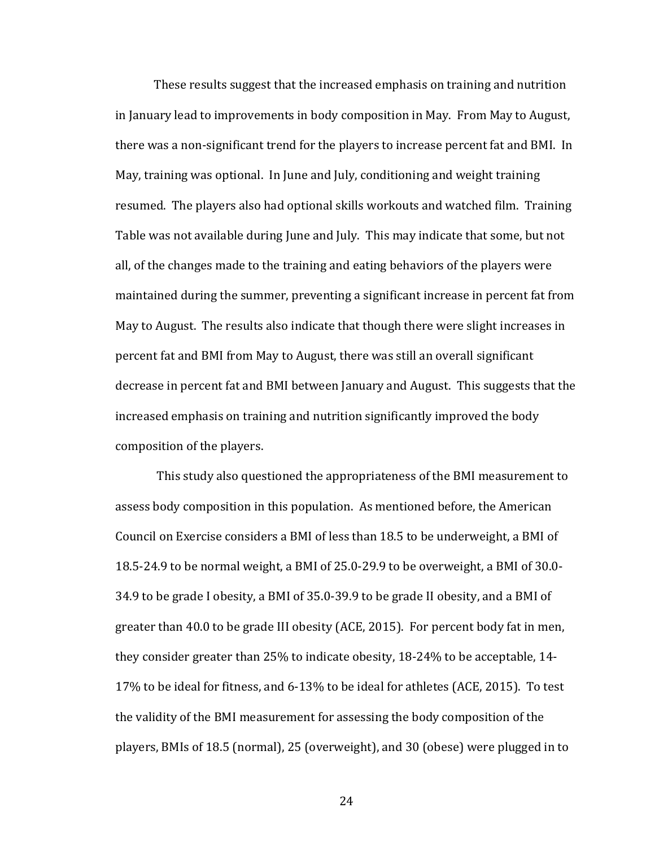These results suggest that the increased emphasis on training and nutrition in January lead to improvements in body composition in May. From May to August, there was a non-significant trend for the players to increase percent fat and BMI. In May, training was optional. In June and July, conditioning and weight training resumed. The players also had optional skills workouts and watched film. Training Table was not available during June and July. This may indicate that some, but not all, of the changes made to the training and eating behaviors of the players were maintained during the summer, preventing a significant increase in percent fat from May to August. The results also indicate that though there were slight increases in percent fat and BMI from May to August, there was still an overall significant decrease in percent fat and BMI between January and August. This suggests that the increased emphasis on training and nutrition significantly improved the body composition of the players.

This study also questioned the appropriateness of the BMI measurement to assess body composition in this population. As mentioned before, the American Council on Exercise considers a BMI of less than 18.5 to be underweight, a BMI of 18.5-24.9 to be normal weight, a BMI of 25.0-29.9 to be overweight, a BMI of 30.0- 34.9 to be grade I obesity, a BMI of 35.0-39.9 to be grade II obesity, and a BMI of greater than 40.0 to be grade III obesity (ACE, 2015). For percent body fat in men, they consider greater than 25% to indicate obesity, 18-24% to be acceptable, 14- 17% to be ideal for fitness, and 6-13% to be ideal for athletes (ACE, 2015). To test the validity of the BMI measurement for assessing the body composition of the players, BMIs of 18.5 (normal), 25 (overweight), and 30 (obese) were plugged in to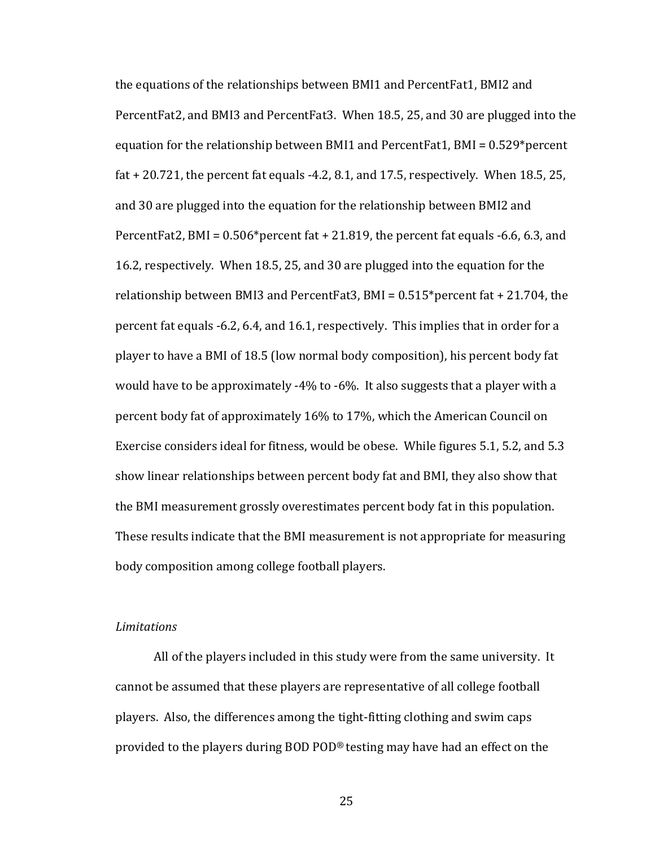the equations of the relationships between BMI1 and PercentFat1, BMI2 and PercentFat2, and BMI3 and PercentFat3. When 18.5, 25, and 30 are plugged into the equation for the relationship between BMI1 and PercentFat1, BMI = 0.529\*percent fat  $+20.721$ , the percent fat equals  $-4.2$ , 8.1, and 17.5, respectively. When 18.5, 25, and 30 are plugged into the equation for the relationship between BMI2 and PercentFat2, BMI =  $0.506*$  percent fat + 21.819, the percent fat equals -6.6, 6.3, and 16.2, respectively. When 18.5, 25, and 30 are plugged into the equation for the relationship between BMI3 and PercentFat3, BMI = 0.515\*percent fat + 21.704, the percent fat equals -6.2, 6.4, and 16.1, respectively. This implies that in order for a player to have a BMI of 18.5 (low normal body composition), his percent body fat would have to be approximately -4% to -6%. It also suggests that a player with a percent body fat of approximately 16% to 17%, which the American Council on Exercise considers ideal for fitness, would be obese. While figures 5.1, 5.2, and 5.3 show linear relationships between percent body fat and BMI, they also show that the BMI measurement grossly overestimates percent body fat in this population. These results indicate that the BMI measurement is not appropriate for measuring body composition among college football players.

#### *Limitations*

All of the players included in this study were from the same university. It cannot be assumed that these players are representative of all college football players. Also, the differences among the tight-fitting clothing and swim caps provided to the players during BOD POD® testing may have had an effect on the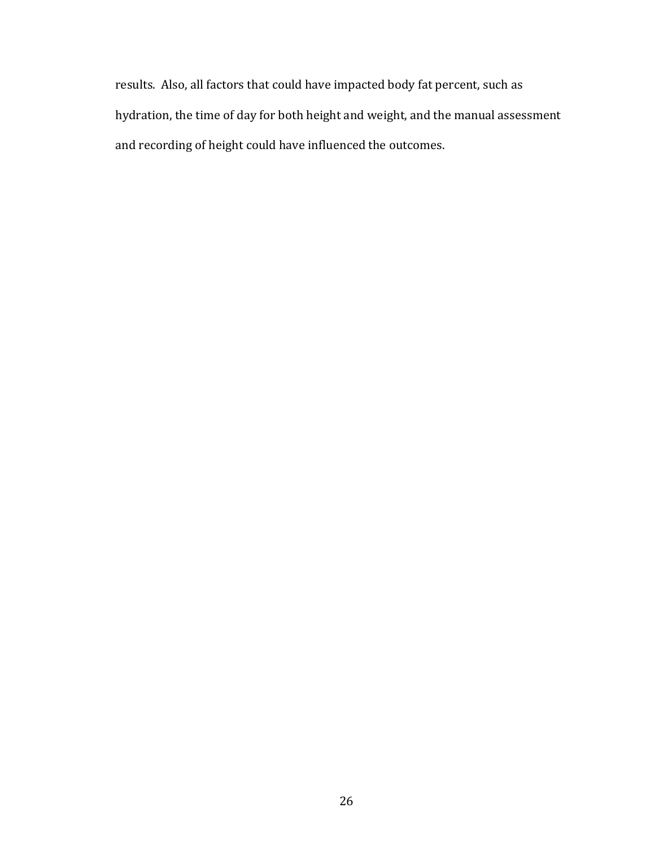results. Also, all factors that could have impacted body fat percent, such as hydration, the time of day for both height and weight, and the manual assessment and recording of height could have influenced the outcomes.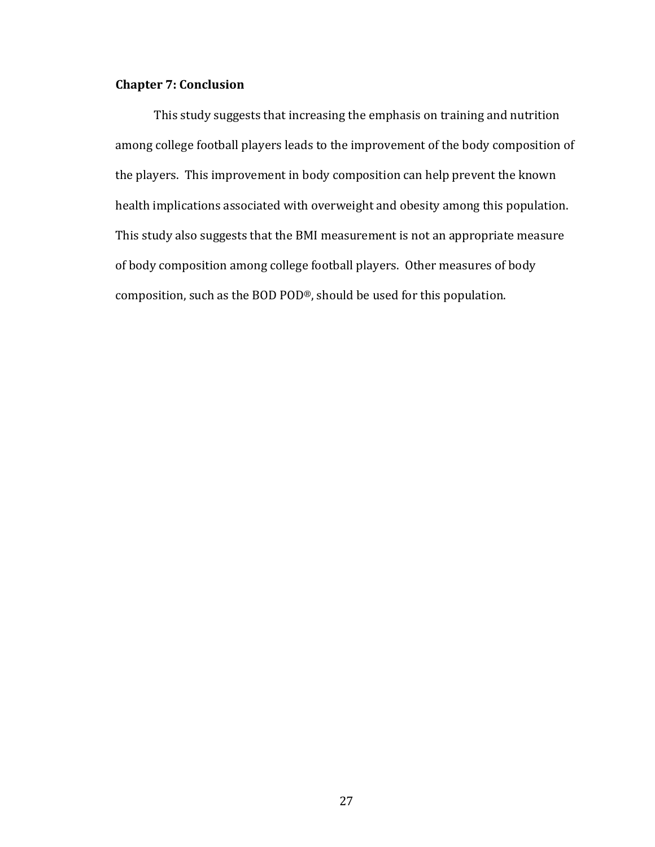### **Chapter 7: Conclusion**

This study suggests that increasing the emphasis on training and nutrition among college football players leads to the improvement of the body composition of the players. This improvement in body composition can help prevent the known health implications associated with overweight and obesity among this population. This study also suggests that the BMI measurement is not an appropriate measure of body composition among college football players. Other measures of body composition, such as the BOD POD®, should be used for this population.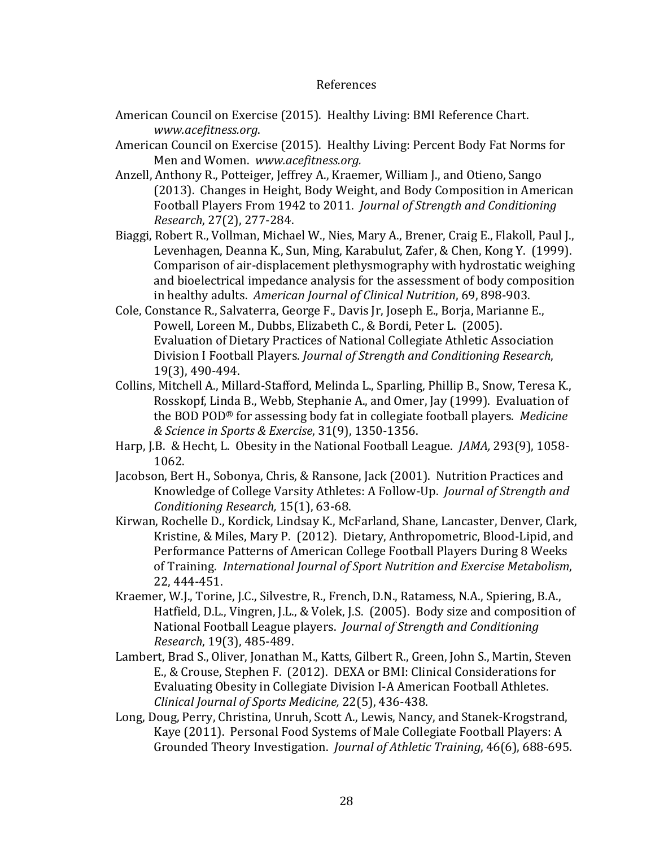#### References

- American Council on Exercise (2015). Healthy Living: BMI Reference Chart. *www.acefitness.org*.
- American Council on Exercise (2015). Healthy Living: Percent Body Fat Norms for Men and Women. *www.acefitness.org.*
- Anzell, Anthony R., Potteiger, Jeffrey A., Kraemer, William J., and Otieno, Sango (2013). Changes in Height, Body Weight, and Body Composition in American Football Players From 1942 to 2011. *Journal of Strength and Conditioning Research*, 27(2), 277-284.
- Biaggi, Robert R., Vollman, Michael W., Nies, Mary A., Brener, Craig E., Flakoll, Paul J., Levenhagen, Deanna K., Sun, Ming, Karabulut, Zafer, & Chen, Kong Y. (1999). Comparison of air-displacement plethysmography with hydrostatic weighing and bioelectrical impedance analysis for the assessment of body composition in healthy adults. *American Journal of Clinical Nutrition*, 69, 898-903.
- Cole, Constance R., Salvaterra, George F., Davis Jr, Joseph E., Borja, Marianne E., Powell, Loreen M., Dubbs, Elizabeth C., & Bordi, Peter L. (2005). Evaluation of Dietary Practices of National Collegiate Athletic Association Division I Football Players. *Journal of Strength and Conditioning Research*, 19(3), 490-494.
- Collins, Mitchell A., Millard-Stafford, Melinda L., Sparling, Phillip B., Snow, Teresa K., Rosskopf, Linda B., Webb, Stephanie A., and Omer, Jay (1999). Evaluation of the BOD POD® for assessing body fat in collegiate football players. *Medicine & Science in Sports & Exercise*, 31(9), 1350-1356.
- Harp, J.B. & Hecht, L. Obesity in the National Football League. *JAMA,* 293(9), 1058- 1062.
- Jacobson, Bert H., Sobonya, Chris, & Ransone, Jack (2001). Nutrition Practices and Knowledge of College Varsity Athletes: A Follow-Up. *Journal of Strength and Conditioning Research,* 15(1), 63-68.
- Kirwan, Rochelle D., Kordick, Lindsay K., McFarland, Shane, Lancaster, Denver, Clark, Kristine, & Miles, Mary P. (2012). Dietary, Anthropometric, Blood-Lipid, and Performance Patterns of American College Football Players During 8 Weeks of Training. *International Journal of Sport Nutrition and Exercise Metabolism*, 22, 444-451.
- Kraemer, W.J., Torine, J.C., Silvestre, R., French, D.N., Ratamess, N.A., Spiering, B.A., Hatfield, D.L., Vingren, J.L., & Volek, J.S. (2005). Body size and composition of National Football League players. *Journal of Strength and Conditioning Research*, 19(3), 485-489.
- Lambert, Brad S., Oliver, Jonathan M., Katts, Gilbert R., Green, John S., Martin, Steven E., & Crouse, Stephen F. (2012). DEXA or BMI: Clinical Considerations for Evaluating Obesity in Collegiate Division I-A American Football Athletes. *Clinical Journal of Sports Medicine,* 22(5), 436-438.
- Long, Doug, Perry, Christina, Unruh, Scott A., Lewis, Nancy, and Stanek-Krogstrand, Kaye (2011). Personal Food Systems of Male Collegiate Football Players: A Grounded Theory Investigation. *Journal of Athletic Training*, 46(6), 688-695.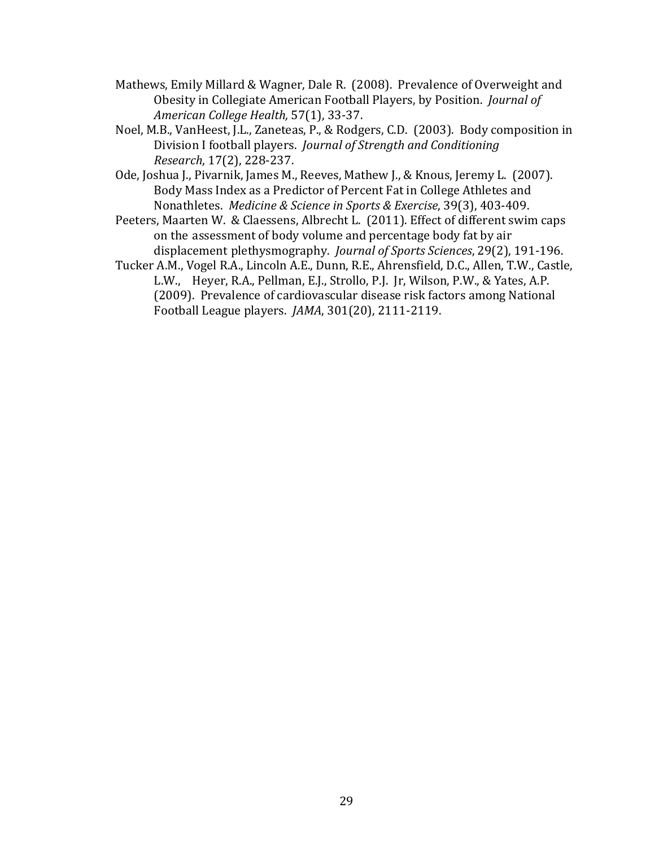- Mathews, Emily Millard & Wagner, Dale R. (2008). Prevalence of Overweight and Obesity in Collegiate American Football Players, by Position. *Journal of American College Health,* 57(1), 33-37.
- Noel, M.B., VanHeest, J.L., Zaneteas, P., & Rodgers, C.D. (2003). Body composition in Division I football players. *Journal of Strength and Conditioning Research*, 17(2), 228-237.
- Ode, Joshua J., Pivarnik, James M., Reeves, Mathew J., & Knous, Jeremy L. (2007). Body Mass Index as a Predictor of Percent Fat in College Athletes and Nonathletes. *Medicine & Science in Sports & Exercise*, 39(3), 403-409.
- Peeters, Maarten W. & Claessens, Albrecht L. (2011). Effect of different swim caps on the assessment of body volume and percentage body fat by air displacement plethysmography. *Journal of Sports Sciences*, 29(2), 191-196.
- Tucker A.M., Vogel R.A., Lincoln A.E., Dunn, R.E., Ahrensfield, D.C., Allen, T.W., Castle, L.W., Heyer, R.A., Pellman, E.J., Strollo, P.J. Jr, Wilson, P.W., & Yates, A.P. (2009). Prevalence of cardiovascular disease risk factors among National Football League players. *JAMA*, 301(20), 2111-2119.